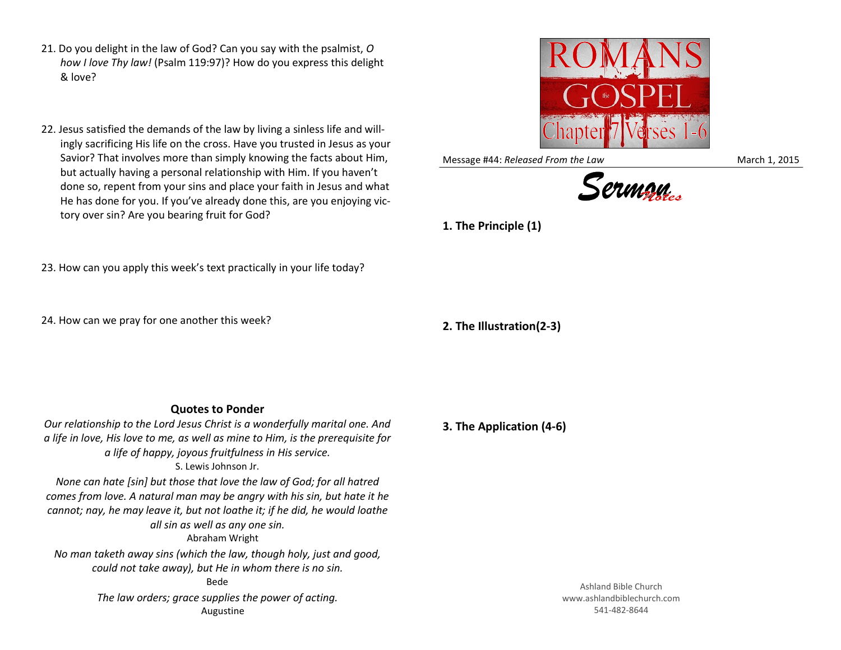- 21. Do you delight in the law of God? Can you say with the psalmist, *O how I love Thy law!* (Psalm 119:97)? How do you express this delight & love?
- 22. Jesus satisfied the demands of the law by living a sinless life and willingly sacrificing His life on the cross. Have you trusted in Jesus as your Savior? That involves more than simply knowing the facts about Him, but actually having a personal relationship with Him. If you haven't done so, repent from your sins and place your faith in Jesus and what He has done for you. If you've already done this, are you enjoying victory over sin? Are you bearing fruit for God?



Message #44: *Released From the Law* March 1, 2015



**1. The Principle (1)**

23. How can you apply this week's text practically in your life today?

24. How can we pray for one another this week?

**2. The Illustration(2-3)**

**Quotes to Ponder**

*Our relationship to the Lord Jesus Christ is a wonderfully marital one. And a life in love, His love to me, as well as mine to Him, is the prerequisite for a life of happy, joyous fruitfulness in His service.* S. Lewis Johnson Jr. *None can hate [sin] but those that love the law of God; for all hatred comes from love. A natural man may be angry with his sin, but hate it he cannot; nay, he may leave it, but not loathe it; if he did, he would loathe all sin as well as any one sin.*

Abraham Wright *No man taketh away sins (which the law, though holy, just and good, could not take away), but He in whom there is no sin.* Bede

> *The law orders; grace supplies the power of acting.* Augustine

**3. The Application (4-6)**

Ashland Bible Church www.ashlandbiblechurch.com 541-482-8644